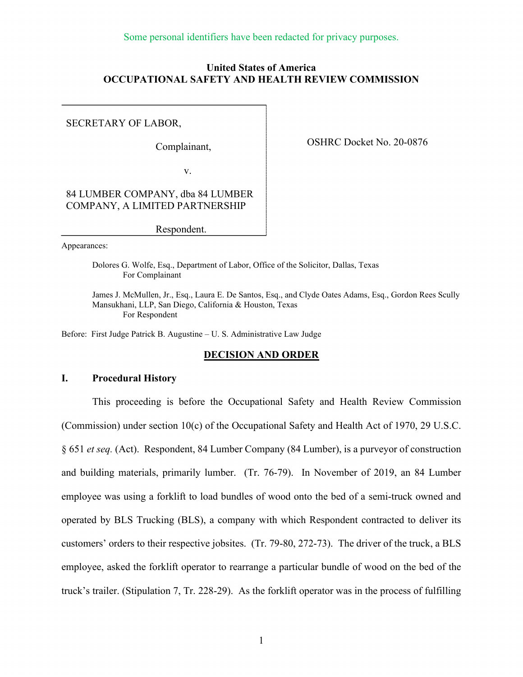## **United States of America OCCUPATIONAL SAFETY AND HEALTH REVIEW COMMISSION**

#### SECRETARY OF LABOR,

Complainant,

OSHRC Docket No. 20-0876

v.

## 84 LUMBER COMPANY, dba 84 LUMBER COMPANY, A LIMITED PARTNERSHIP

Respondent.

Appearances:

Dolores G. Wolfe, Esq., Department of Labor, Office of the Solicitor, Dallas, Texas For Complainant

James J. McMullen, Jr., Esq., Laura E. De Santos, Esq., and Clyde Oates Adams, Esq., Gordon Rees Scully Mansukhani, LLP, San Diego, California & Houston, Texas For Respondent

Before: First Judge Patrick B. Augustine – U. S. Administrative Law Judge

## **DECISION AND ORDER**

# **I. Procedural History**

This proceeding is before the Occupational Safety and Health Review Commission (Commission) under section 10(c) of the Occupational Safety and Health Act of 1970, 29 U.S.C. § 651 *et seq.* (Act). Respondent, 84 Lumber Company (84 Lumber), is a purveyor of construction and building materials, primarily lumber. (Tr. 76-79). In November of 2019, an 84 Lumber employee was using a forklift to load bundles of wood onto the bed of a semi-truck owned and operated by BLS Trucking (BLS), a company with which Respondent contracted to deliver its customers' orders to their respective jobsites. (Tr. 79-80, 272-73). The driver of the truck, a BLS employee, asked the forklift operator to rearrange a particular bundle of wood on the bed of the truck's trailer. (Stipulation 7, Tr. 228-29). As the forklift operator was in the process of fulfilling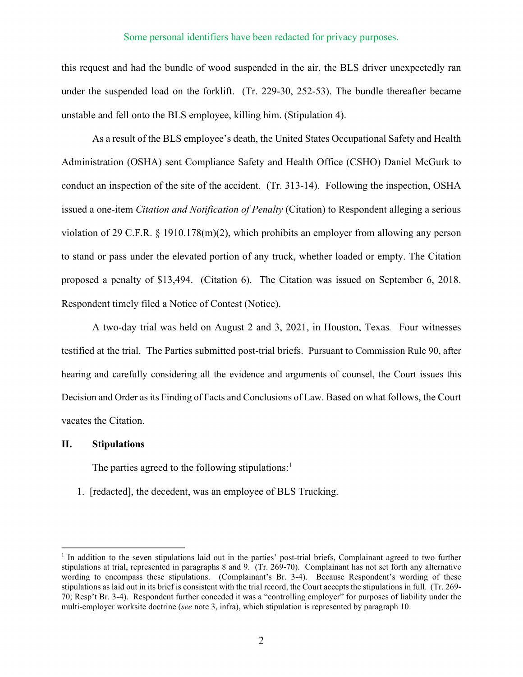this request and had the bundle of wood suspended in the air, the BLS driver unexpectedly ran under the suspended load on the forklift. (Tr. 229-30, 252-53). The bundle thereafter became unstable and fell onto the BLS employee, killing him. (Stipulation 4).

As a result of the BLS employee's death, the United States Occupational Safety and Health Administration (OSHA) sent Compliance Safety and Health Office (CSHO) Daniel McGurk to conduct an inspection of the site of the accident. (Tr. 313-14). Following the inspection, OSHA issued a one-item *Citation and Notification of Penalty* (Citation) to Respondent alleging a serious violation of 29 C.F.R. § 1910.178(m)(2), which prohibits an employer from allowing any person to stand or pass under the elevated portion of any truck, whether loaded or empty. The Citation proposed a penalty of \$13,494. (Citation 6). The Citation was issued on September 6, 2018. Respondent timely filed a Notice of Contest (Notice).

A two-day trial was held on August 2 and 3, 2021, in Houston, Texas*.* Four witnesses testified at the trial. The Parties submitted post-trial briefs. Pursuant to Commission Rule 90, after hearing and carefully considering all the evidence and arguments of counsel, the Court issues this Decision and Order as its Finding of Facts and Conclusions of Law. Based on what follows, the Court vacates the Citation.

#### **II. Stipulations**

The parties agreed to the following stipulations:<sup>1</sup>

1. [redacted], the decedent, was an employee of BLS Trucking.

 $1$  In addition to the seven stipulations laid out in the parties' post-trial briefs. Complainant agreed to two further stipulations at trial, represented in paragraphs 8 and 9. (Tr. 269-70). Complainant has not set forth any alternative wording to encompass these stipulations. (Complainant's Br. 3-4). Because Respondent's wording of these stipulations as laid out in its brief is consistent with the trial record, the Court accepts the stipulations in full. (Tr. 269- 70; Resp't Br. 3-4). Respondent further conceded it was a "controlling employer" for purposes of liability under the multi-employer worksite doctrine (*see* note 3, infra), which stipulation is represented by paragraph 10.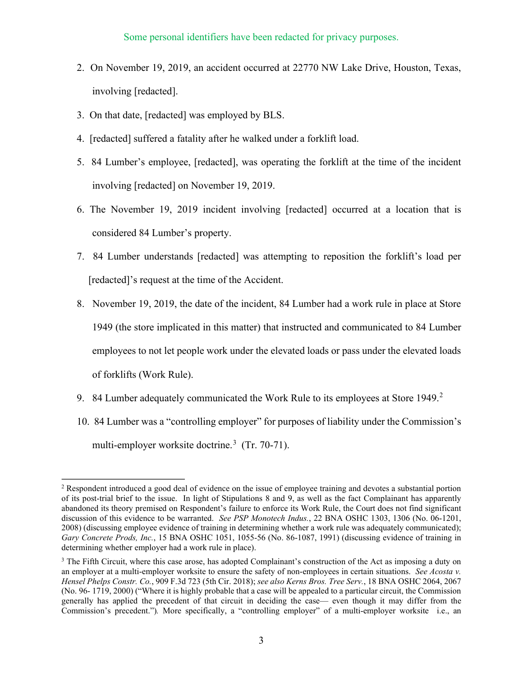- 2. On November 19, 2019, an accident occurred at 22770 NW Lake Drive, Houston, Texas, involving [redacted].
- 3. On that date, [redacted] was employed by BLS.
- 4. [redacted] suffered a fatality after he walked under a forklift load.
- 5. 84 Lumber's employee, [redacted], was operating the forklift at the time of the incident involving [redacted] on November 19, 2019.
- 6. The November 19, 2019 incident involving [redacted] occurred at a location that is considered 84 Lumber's property.
- 7. 84 Lumber understands [redacted] was attempting to reposition the forklift's load per [redacted]'s request at the time of the Accident.
- 8. November 19, 2019, the date of the incident, 84 Lumber had a work rule in place at Store 1949 (the store implicated in this matter) that instructed and communicated to 84 Lumber employees to not let people work under the elevated loads or pass under the elevated loads of forklifts (Work Rule).
- 9. 84 Lumber adequately communicated the Work Rule to its employees at Store 1949.<sup>2</sup>
- 10. 84 Lumber was a "controlling employer" for purposes of liability under the Commission's multi-employer worksite doctrine.<sup>3</sup> (Tr. 70-71).

<sup>&</sup>lt;sup>2</sup> Respondent introduced a good deal of evidence on the issue of employee training and devotes a substantial portion of its post-trial brief to the issue. In light of Stipulations 8 and 9, as well as the fact Complainant has apparently abandoned its theory premised on Respondent's failure to enforce its Work Rule, the Court does not find significant discussion of this evidence to be warranted. *See PSP Monotech Indus.*, 22 BNA OSHC 1303, 1306 (No. 06-1201, 2008) (discussing employee evidence of training in determining whether a work rule was adequately communicated); *Gary Concrete Prods, Inc.*, 15 BNA OSHC 1051, 1055-56 (No. 86-1087, 1991) (discussing evidence of training in determining whether employer had a work rule in place).

<sup>&</sup>lt;sup>3</sup> The Fifth Circuit, where this case arose, has adopted Complainant's construction of the Act as imposing a duty on an employer at a multi-employer worksite to ensure the safety of non-employees in certain situations. *See Acosta v. Hensel Phelps Constr. Co.*, 909 F.3d 723 (5th Cir. 2018); *see also Kerns Bros. Tree Serv.*, 18 BNA OSHC 2064, 2067 (No. 96- 1719, 2000) ("Where it is highly probable that a case will be appealed to a particular circuit, the Commission generally has applied the precedent of that circuit in deciding the case— even though it may differ from the Commission's precedent.")*.* More specifically, a "controlling employer" of a multi-employer worksite i.e., an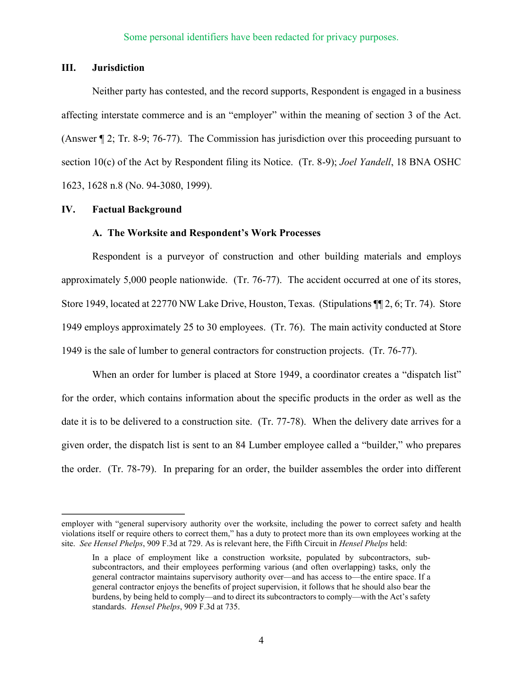## **III. Jurisdiction**

Neither party has contested, and the record supports, Respondent is engaged in a business affecting interstate commerce and is an "employer" within the meaning of section 3 of the Act. (Answer ¶ 2; Tr. 8-9; 76-77). The Commission has jurisdiction over this proceeding pursuant to section 10(c) of the Act by Respondent filing its Notice. (Tr. 8-9); *Joel Yandell*, 18 BNA OSHC 1623, 1628 n.8 (No. 94-3080, 1999).

#### **IV. Factual Background**

#### **A. The Worksite and Respondent's Work Processes**

Respondent is a purveyor of construction and other building materials and employs approximately 5,000 people nationwide. (Tr. 76-77). The accident occurred at one of its stores, Store 1949, located at 22770 NW Lake Drive, Houston, Texas. (Stipulations ¶¶ 2, 6; Tr. 74). Store 1949 employs approximately 25 to 30 employees. (Tr. 76). The main activity conducted at Store 1949 is the sale of lumber to general contractors for construction projects. (Tr. 76-77).

When an order for lumber is placed at Store 1949, a coordinator creates a "dispatch list" for the order, which contains information about the specific products in the order as well as the date it is to be delivered to a construction site. (Tr. 77-78). When the delivery date arrives for a given order, the dispatch list is sent to an 84 Lumber employee called a "builder," who prepares the order. (Tr. 78-79). In preparing for an order, the builder assembles the order into different

employer with "general supervisory authority over the worksite, including the power to correct safety and health violations itself or require others to correct them," has a duty to protect more than its own employees working at the site. *See Hensel Phelps*, 909 F.3d at 729. As is relevant here, the Fifth Circuit in *Hensel Phelps* held:

In a place of employment like a construction worksite, populated by subcontractors, subsubcontractors, and their employees performing various (and often overlapping) tasks, only the general contractor maintains supervisory authority over—and has access to—the entire space. If a general contractor enjoys the benefits of project supervision, it follows that he should also bear the burdens, by being held to comply—and to direct its subcontractors to comply—with the Act's safety standards. *Hensel Phelps*, 909 F.3d at 735.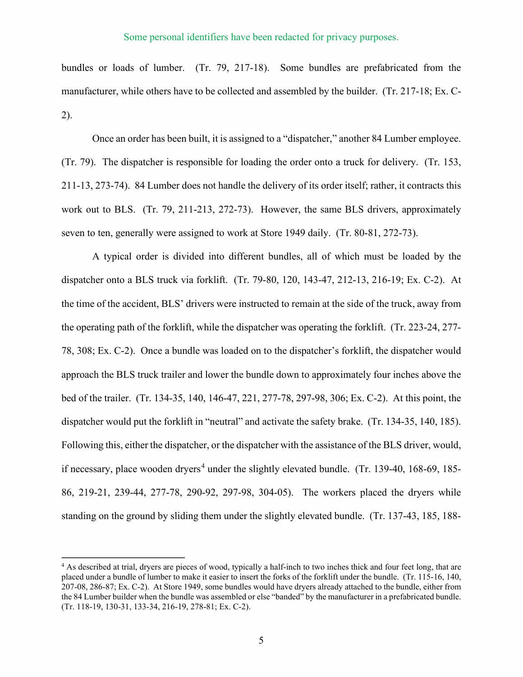bundles or loads of lumber. (Tr. 79, 217-18). Some bundles are prefabricated from the manufacturer, while others have to be collected and assembled by the builder. (Tr. 217-18; Ex. C-2).

Once an order has been built, it is assigned to a "dispatcher," another 84 Lumber employee. (Tr. 79). The dispatcher is responsible for loading the order onto a truck for delivery. (Tr. 153, 211-13, 273-74). 84 Lumber does not handle the delivery of its order itself; rather, it contracts this work out to BLS. (Tr. 79, 211-213, 272-73). However, the same BLS drivers, approximately seven to ten, generally were assigned to work at Store 1949 daily. (Tr. 80-81, 272-73).

A typical order is divided into different bundles, all of which must be loaded by the dispatcher onto a BLS truck via forklift. (Tr. 79-80, 120, 143-47, 212-13, 216-19; Ex. C-2). At the time of the accident, BLS' drivers were instructed to remain at the side of the truck, away from the operating path of the forklift, while the dispatcher was operating the forklift. (Tr. 223-24, 277- 78, 308; Ex. C-2). Once a bundle was loaded on to the dispatcher's forklift, the dispatcher would approach the BLS truck trailer and lower the bundle down to approximately four inches above the bed of the trailer. (Tr. 134-35, 140, 146-47, 221, 277-78, 297-98, 306; Ex. C-2). At this point, the dispatcher would put the forklift in "neutral" and activate the safety brake. (Tr. 134-35, 140, 185). Following this, either the dispatcher, or the dispatcher with the assistance of the BLS driver, would, if necessary, place wooden dryers<sup>4</sup> under the slightly elevated bundle. (Tr. 139-40, 168-69, 185-86, 219-21, 239-44, 277-78, 290-92, 297-98, 304-05). The workers placed the dryers while standing on the ground by sliding them under the slightly elevated bundle. (Tr. 137-43, 185, 188-

<sup>&</sup>lt;sup>4</sup> As described at trial, dryers are pieces of wood, typically a half-inch to two inches thick and four feet long, that are placed under a bundle of lumber to make it easier to insert the forks of the forklift under the bundle. (Tr. 115-16, 140, 207-08, 286-87; Ex. C-2). At Store 1949, some bundles would have dryers already attached to the bundle, either from the 84 Lumber builder when the bundle was assembled or else "banded" by the manufacturer in a prefabricated bundle. (Tr. 118-19, 130-31, 133-34, 216-19, 278-81; Ex. C-2).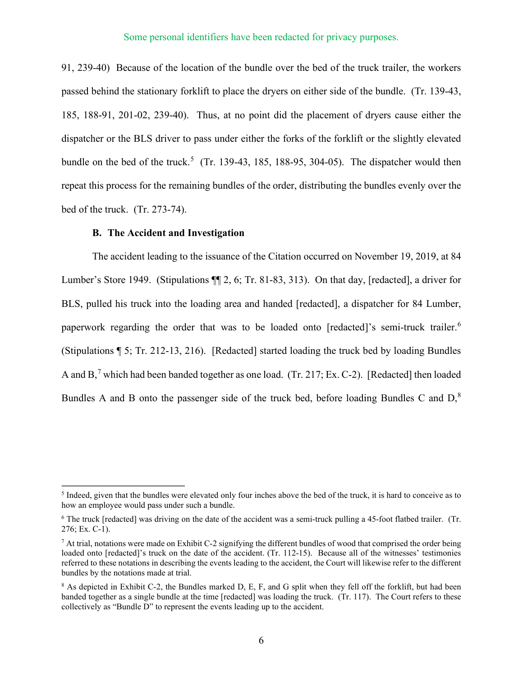91, 239-40) Because of the location of the bundle over the bed of the truck trailer, the workers passed behind the stationary forklift to place the dryers on either side of the bundle. (Tr. 139-43, 185, 188-91, 201-02, 239-40). Thus, at no point did the placement of dryers cause either the dispatcher or the BLS driver to pass under either the forks of the forklift or the slightly elevated bundle on the bed of the truck.<sup>5</sup> (Tr. 139-43, 185, 188-95, 304-05). The dispatcher would then repeat this process for the remaining bundles of the order, distributing the bundles evenly over the bed of the truck. (Tr. 273-74).

### **B. The Accident and Investigation**

The accident leading to the issuance of the Citation occurred on November 19, 2019, at 84 Lumber's Store 1949. (Stipulations ¶¶ 2, 6; Tr. 81-83, 313). On that day, [redacted], a driver for BLS, pulled his truck into the loading area and handed [redacted], a dispatcher for 84 Lumber, paperwork regarding the order that was to be loaded onto [redacted]'s semi-truck trailer.<sup>6</sup> (Stipulations ¶ 5; Tr. 212-13, 216). [Redacted] started loading the truck bed by loading Bundles A and  $B$ ,<sup>7</sup> which had been banded together as one load. (Tr. 217; Ex. C-2). [Redacted] then loaded Bundles A and B onto the passenger side of the truck bed, before loading Bundles C and D,<sup>8</sup>

<sup>&</sup>lt;sup>5</sup> Indeed, given that the bundles were elevated only four inches above the bed of the truck, it is hard to conceive as to how an employee would pass under such a bundle.

 $6$  The truck [redacted] was driving on the date of the accident was a semi-truck pulling a 45-foot flatbed trailer. (Tr. 276; Ex. C-1).

 $^7$  At trial, notations were made on Exhibit C-2 signifying the different bundles of wood that comprised the order being loaded onto [redacted]'s truck on the date of the accident. (Tr. 112-15). Because all of the witnesses' testimonies referred to these notations in describing the events leading to the accident, the Court will likewise refer to the different bundles by the notations made at trial.

<sup>8</sup> As depicted in Exhibit C-2, the Bundles marked D, E, F, and G split when they fell off the forklift, but had been banded together as a single bundle at the time [redacted] was loading the truck. (Tr. 117). The Court refers to these collectively as "Bundle D" to represent the events leading up to the accident.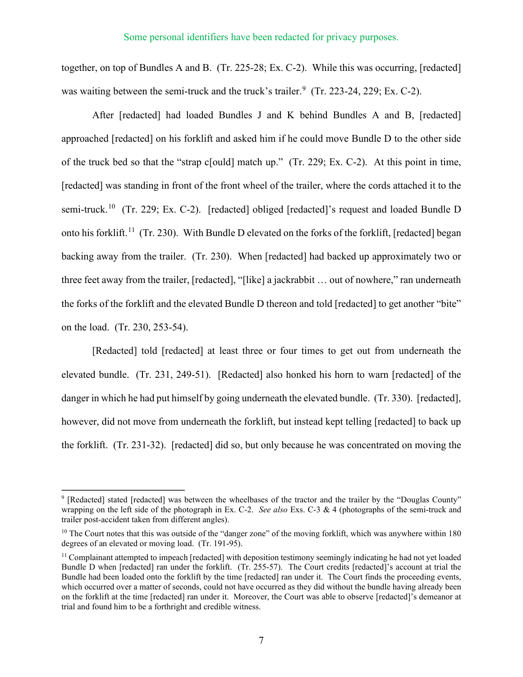together, on top of Bundles A and B. (Tr. 225-28; Ex. C-2). While this was occurring, [redacted] was waiting between the semi-truck and the truck's trailer.<sup>9</sup> (Tr. 223-24, 229; Ex. C-2).

After [redacted] had loaded Bundles J and K behind Bundles A and B, [redacted] approached [redacted] on his forklift and asked him if he could move Bundle D to the other side of the truck bed so that the "strap c[ould] match up." (Tr. 229; Ex. C-2). At this point in time, [redacted] was standing in front of the front wheel of the trailer, where the cords attached it to the semi-truck.<sup>10</sup> (Tr. 229; Ex. C-2). [redacted] obliged [redacted]'s request and loaded Bundle D onto his forklift.11 (Tr. 230). With Bundle D elevated on the forks of the forklift, [redacted] began backing away from the trailer. (Tr. 230). When [redacted] had backed up approximately two or three feet away from the trailer, [redacted], "[like] a jackrabbit … out of nowhere," ran underneath the forks of the forklift and the elevated Bundle D thereon and told [redacted] to get another "bite" on the load. (Tr. 230, 253-54).

[Redacted] told [redacted] at least three or four times to get out from underneath the elevated bundle. (Tr. 231, 249-51). [Redacted] also honked his horn to warn [redacted] of the danger in which he had put himself by going underneath the elevated bundle. (Tr. 330). [redacted], however, did not move from underneath the forklift, but instead kept telling [redacted] to back up the forklift. (Tr. 231-32). [redacted] did so, but only because he was concentrated on moving the

<sup>&</sup>lt;sup>9</sup> [Redacted] stated [redacted] was between the wheelbases of the tractor and the trailer by the "Douglas County" wrapping on the left side of the photograph in Ex. C-2. *See also* Exs. C-3 & 4 (photographs of the semi-truck and trailer post-accident taken from different angles).

 $10$  The Court notes that this was outside of the "danger zone" of the moving forklift, which was anywhere within 180 degrees of an elevated or moving load. (Tr. 191-95).

<sup>&</sup>lt;sup>11</sup> Complainant attempted to impeach [redacted] with deposition testimony seemingly indicating he had not yet loaded Bundle D when [redacted] ran under the forklift. (Tr. 255-57). The Court credits [redacted]'s account at trial the Bundle had been loaded onto the forklift by the time [redacted] ran under it. The Court finds the proceeding events, which occurred over a matter of seconds, could not have occurred as they did without the bundle having already been on the forklift at the time [redacted] ran under it. Moreover, the Court was able to observe [redacted]'s demeanor at trial and found him to be a forthright and credible witness.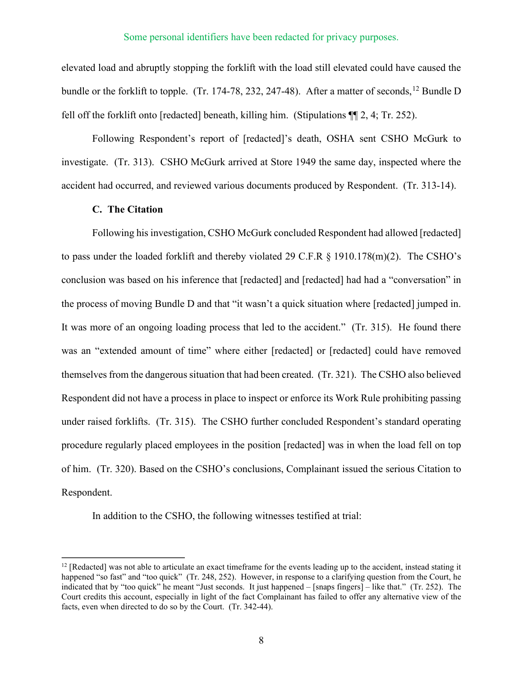elevated load and abruptly stopping the forklift with the load still elevated could have caused the bundle or the forklift to topple. (Tr. 174-78, 232, 247-48). After a matter of seconds, <sup>12</sup> Bundle D fell off the forklift onto [redacted] beneath, killing him. (Stipulations ¶¶ 2, 4; Tr. 252).

Following Respondent's report of [redacted]'s death, OSHA sent CSHO McGurk to investigate. (Tr. 313). CSHO McGurk arrived at Store 1949 the same day, inspected where the accident had occurred, and reviewed various documents produced by Respondent. (Tr. 313-14).

# **C. The Citation**

Following his investigation, CSHO McGurk concluded Respondent had allowed [redacted] to pass under the loaded forklift and thereby violated 29 C.F.R § 1910.178(m)(2). The CSHO's conclusion was based on his inference that [redacted] and [redacted] had had a "conversation" in the process of moving Bundle D and that "it wasn't a quick situation where [redacted] jumped in. It was more of an ongoing loading process that led to the accident." (Tr. 315). He found there was an "extended amount of time" where either [redacted] or [redacted] could have removed themselves from the dangerous situation that had been created. (Tr. 321). The CSHO also believed Respondent did not have a process in place to inspect or enforce its Work Rule prohibiting passing under raised forklifts. (Tr. 315). The CSHO further concluded Respondent's standard operating procedure regularly placed employees in the position [redacted] was in when the load fell on top of him. (Tr. 320). Based on the CSHO's conclusions, Complainant issued the serious Citation to Respondent.

In addition to the CSHO, the following witnesses testified at trial:

<sup>&</sup>lt;sup>12</sup> [Redacted] was not able to articulate an exact timeframe for the events leading up to the accident, instead stating it happened "so fast" and "too quick" (Tr. 248, 252). However, in response to a clarifying question from the Court, he indicated that by "too quick" he meant "Just seconds. It just happened – [snaps fingers] – like that." (Tr. 252). The Court credits this account, especially in light of the fact Complainant has failed to offer any alternative view of the facts, even when directed to do so by the Court. (Tr. 342-44).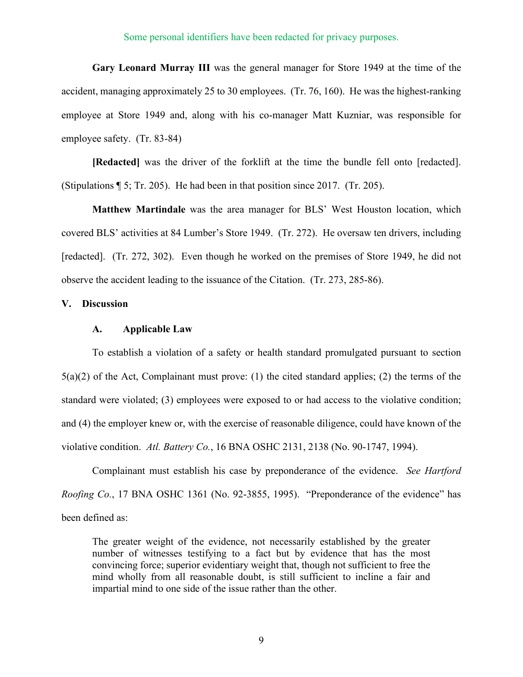**Gary Leonard Murray III** was the general manager for Store 1949 at the time of the accident, managing approximately 25 to 30 employees. (Tr. 76, 160). He was the highest-ranking employee at Store 1949 and, along with his co-manager Matt Kuzniar, was responsible for employee safety. (Tr. 83-84)

**[Redacted]** was the driver of the forklift at the time the bundle fell onto [redacted]. (Stipulations ¶ 5; Tr. 205). He had been in that position since 2017. (Tr. 205).

**Matthew Martindale** was the area manager for BLS' West Houston location, which covered BLS' activities at 84 Lumber's Store 1949. (Tr. 272). He oversaw ten drivers, including [redacted]. (Tr. 272, 302). Even though he worked on the premises of Store 1949, he did not observe the accident leading to the issuance of the Citation. (Tr. 273, 285-86).

### **V. Discussion**

#### **A. Applicable Law**

To establish a violation of a safety or health standard promulgated pursuant to section 5(a)(2) of the Act, Complainant must prove: (1) the cited standard applies; (2) the terms of the standard were violated; (3) employees were exposed to or had access to the violative condition; and (4) the employer knew or, with the exercise of reasonable diligence, could have known of the violative condition. *Atl. Battery Co.*, 16 BNA OSHC 2131, 2138 (No. 90-1747, 1994).

Complainant must establish his case by preponderance of the evidence. *See Hartford Roofing Co.*, 17 BNA OSHC 1361 (No. 92-3855, 1995). "Preponderance of the evidence" has been defined as:

The greater weight of the evidence, not necessarily established by the greater number of witnesses testifying to a fact but by evidence that has the most convincing force; superior evidentiary weight that, though not sufficient to free the mind wholly from all reasonable doubt, is still sufficient to incline a fair and impartial mind to one side of the issue rather than the other.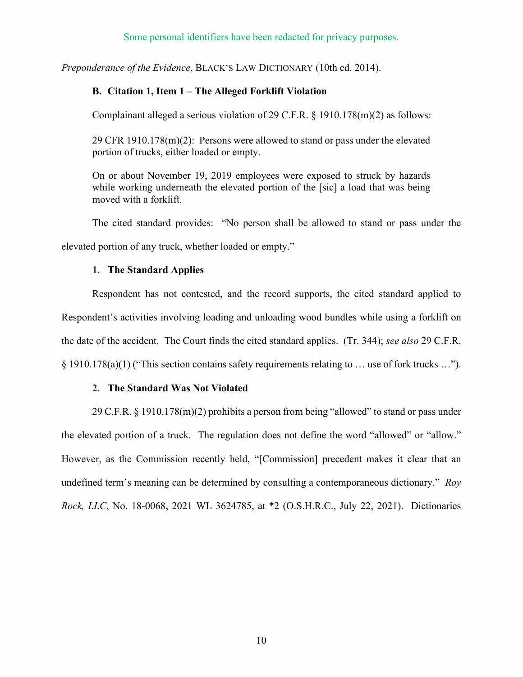*Preponderance of the Evidence*, BLACK'S LAW DICTIONARY (10th ed. 2014).

# **B. Citation 1, Item 1 – The Alleged Forklift Violation**

Complainant alleged a serious violation of 29 C.F.R. § 1910.178(m)(2) as follows:

29 CFR 1910.178(m)(2): Persons were allowed to stand or pass under the elevated portion of trucks, either loaded or empty.

On or about November 19, 2019 employees were exposed to struck by hazards while working underneath the elevated portion of the [sic] a load that was being moved with a forklift.

The cited standard provides: "No person shall be allowed to stand or pass under the elevated portion of any truck, whether loaded or empty."

## **1. The Standard Applies**

Respondent has not contested, and the record supports, the cited standard applied to Respondent's activities involving loading and unloading wood bundles while using a forklift on the date of the accident. The Court finds the cited standard applies. (Tr. 344); *see also* 29 C.F.R. § 1910.178(a)(1) ("This section contains safety requirements relating to … use of fork trucks …").

## **2. The Standard Was Not Violated**

29 C.F.R. § 1910.178(m)(2) prohibits a person from being "allowed" to stand or pass under the elevated portion of a truck. The regulation does not define the word "allowed" or "allow." However, as the Commission recently held, "[Commission] precedent makes it clear that an undefined term's meaning can be determined by consulting a contemporaneous dictionary." *Roy Rock, LLC*, No. 18-0068, 2021 WL 3624785, at \*2 (O.S.H.R.C., July 22, 2021). Dictionaries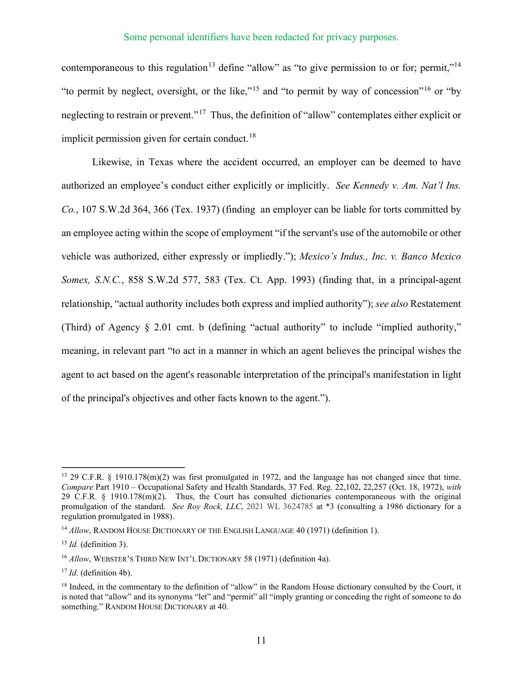contemporaneous to this regulation<sup>13</sup> define "allow" as "to give permission to or for; permit,"<sup>14</sup> "to permit by neglect, oversight, or the like,"<sup>15</sup> and "to permit by way of concession"<sup>16</sup> or "by" neglecting to restrain or prevent."17 Thus, the definition of "allow" contemplates either explicit or implicit permission given for certain conduct.<sup>18</sup>

Likewise, in Texas where the accident occurred, an employer can be deemed to have authorized an employee's conduct either explicitly or implicitly. *See Kennedy v. Am. Nat'l Ins. Co.*, 107 S.W.2d 364, 366 (Tex. 1937) (finding an employer can be liable for torts committed by an employee acting within the scope of employment "if the servant's use of the automobile or other vehicle was authorized, either expressly or impliedly."); *Mexico's Indus., Inc. v. Banco Mexico Somex, S.N.C.*, 858 S.W.2d 577, 583 (Tex. Ct. App. 1993) (finding that, in a principal-agent relationship, "actual authority includes both express and implied authority"); *see also* Restatement (Third) of Agency § 2.01 cmt. b (defining "actual authority" to include "implied authority," meaning, in relevant part "to act in a manner in which an agent believes the principal wishes the agent to act based on the agent's reasonable interpretation of the principal's manifestation in light of the principal's objectives and other facts known to the agent.").

<sup>13</sup> 29 C.F.R. § 1910.178(m)(2) was first promulgated in 1972, and the language has not changed since that time. *Compare* Part 1910 – Occupational Safety and Health Standards, 37 Fed. Reg. 22,102, 22,257 (Oct. 18, 1972), *with*  29 C.F.R. § 1910.178(m)(2). Thus, the Court has consulted dictionaries contemporaneous with the original promulgation of the standard. *See Roy Rock, LLC*, 2021 WL 3624785 at \*3 (consulting a 1986 dictionary for a regulation promulgated in 1988).

<sup>&</sup>lt;sup>14</sup> Allow, RANDOM HOUSE DICTIONARY OF THE ENGLISH LANGUAGE 40 (1971) (definition 1).

<sup>15</sup> *Id.* (definition 3).

<sup>&</sup>lt;sup>16</sup> *Allow*, WEBSTER'S THIRD NEW INT'L DICTIONARY 58 (1971) (definition 4a).

<sup>17</sup> *Id.* (definition 4b).

<sup>&</sup>lt;sup>18</sup> Indeed, in the commentary to the definition of "allow" in the Random House dictionary consulted by the Court, it is noted that "allow" and its synonyms "let" and "permit" all "imply granting or conceding the right of someone to do something." RANDOM HOUSE DICTIONARY at 40.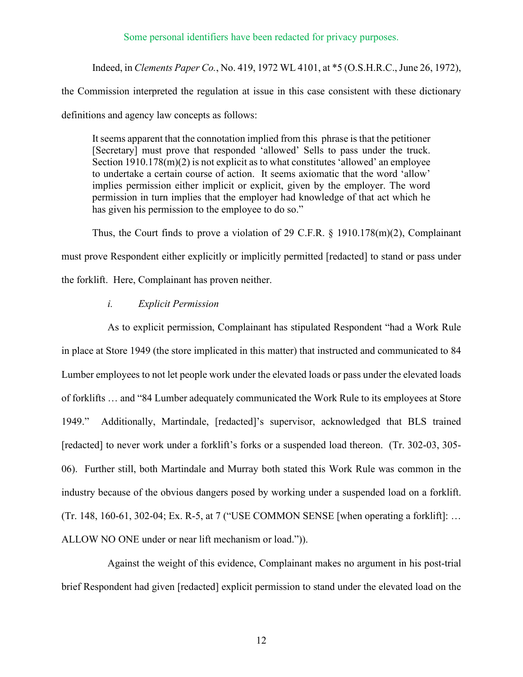Indeed, in *Clements Paper Co.*, No. 419, 1972 WL 4101, at \*5 (O.S.H.R.C., June 26, 1972),

the Commission interpreted the regulation at issue in this case consistent with these dictionary definitions and agency law concepts as follows:

It seems apparent that the connotation implied from this phrase is that the petitioner [Secretary] must prove that responded 'allowed' Sells to pass under the truck. Section 1910.178(m)(2) is not explicit as to what constitutes 'allowed' an employee to undertake a certain course of action. It seems axiomatic that the word 'allow' implies permission either implicit or explicit, given by the employer. The word permission in turn implies that the employer had knowledge of that act which he has given his permission to the employee to do so."

Thus, the Court finds to prove a violation of 29 C.F.R. § 1910.178(m)(2), Complainant must prove Respondent either explicitly or implicitly permitted [redacted] to stand or pass under the forklift. Here, Complainant has proven neither.

#### *i. Explicit Permission*

As to explicit permission, Complainant has stipulated Respondent "had a Work Rule in place at Store 1949 (the store implicated in this matter) that instructed and communicated to 84 Lumber employees to not let people work under the elevated loads or pass under the elevated loads of forklifts … and "84 Lumber adequately communicated the Work Rule to its employees at Store 1949." Additionally, Martindale, [redacted]'s supervisor, acknowledged that BLS trained [redacted] to never work under a forklift's forks or a suspended load thereon. (Tr. 302-03, 305-06). Further still, both Martindale and Murray both stated this Work Rule was common in the industry because of the obvious dangers posed by working under a suspended load on a forklift. (Tr. 148, 160-61, 302-04; Ex. R-5, at 7 ("USE COMMON SENSE [when operating a forklift]: … ALLOW NO ONE under or near lift mechanism or load.")).

Against the weight of this evidence, Complainant makes no argument in his post-trial brief Respondent had given [redacted] explicit permission to stand under the elevated load on the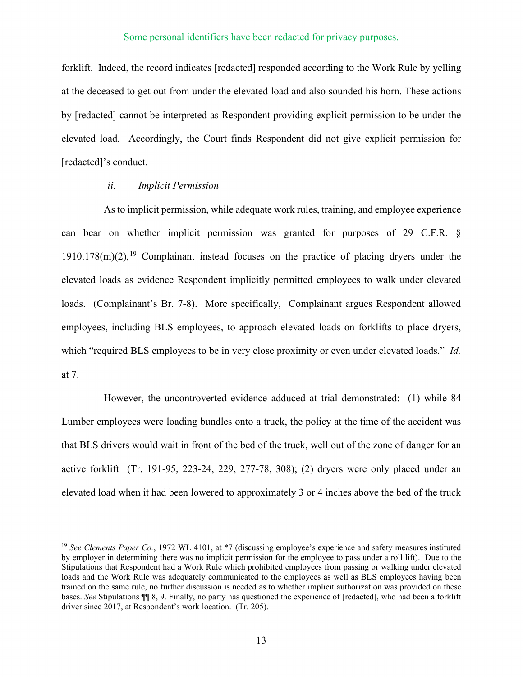forklift. Indeed, the record indicates [redacted] responded according to the Work Rule by yelling at the deceased to get out from under the elevated load and also sounded his horn. These actions by [redacted] cannot be interpreted as Respondent providing explicit permission to be under the elevated load. Accordingly, the Court finds Respondent did not give explicit permission for [redacted]'s conduct.

#### *ii. Implicit Permission*

As to implicit permission, while adequate work rules, training, and employee experience can bear on whether implicit permission was granted for purposes of 29 C.F.R. §  $1910.178(m)(2)$ ,<sup>19</sup> Complainant instead focuses on the practice of placing dryers under the elevated loads as evidence Respondent implicitly permitted employees to walk under elevated loads. (Complainant's Br. 7-8). More specifically, Complainant argues Respondent allowed employees, including BLS employees, to approach elevated loads on forklifts to place dryers, which "required BLS employees to be in very close proximity or even under elevated loads." *Id.* at 7.

However, the uncontroverted evidence adduced at trial demonstrated: (1) while 84 Lumber employees were loading bundles onto a truck, the policy at the time of the accident was that BLS drivers would wait in front of the bed of the truck, well out of the zone of danger for an active forklift (Tr. 191-95, 223-24, 229, 277-78, 308); (2) dryers were only placed under an elevated load when it had been lowered to approximately 3 or 4 inches above the bed of the truck

<sup>&</sup>lt;sup>19</sup> *See Clements Paper Co.*, 1972 WL 4101, at  $*7$  (discussing employee's experience and safety measures instituted by employer in determining there was no implicit permission for the employee to pass under a roll lift). Due to the Stipulations that Respondent had a Work Rule which prohibited employees from passing or walking under elevated loads and the Work Rule was adequately communicated to the employees as well as BLS employees having been trained on the same rule, no further discussion is needed as to whether implicit authorization was provided on these bases. *See* Stipulations ¶¶ 8, 9. Finally, no party has questioned the experience of [redacted], who had been a forklift driver since 2017, at Respondent's work location. (Tr. 205).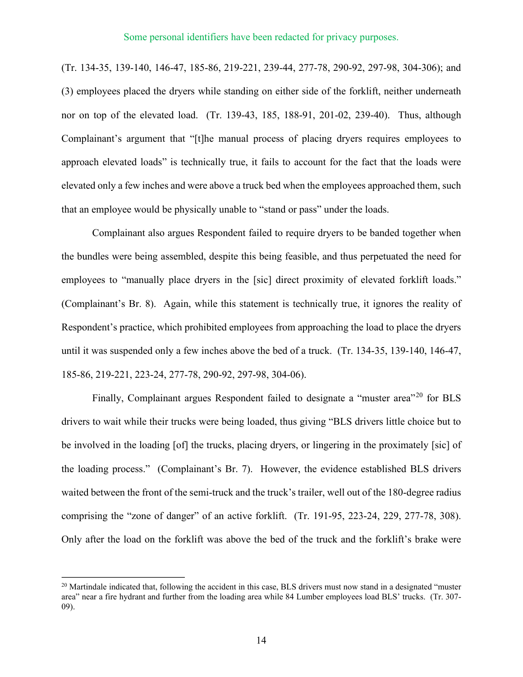(Tr. 134-35, 139-140, 146-47, 185-86, 219-221, 239-44, 277-78, 290-92, 297-98, 304-306); and (3) employees placed the dryers while standing on either side of the forklift, neither underneath nor on top of the elevated load. (Tr. 139-43, 185, 188-91, 201-02, 239-40). Thus, although Complainant's argument that "[t]he manual process of placing dryers requires employees to approach elevated loads" is technically true, it fails to account for the fact that the loads were elevated only a few inches and were above a truck bed when the employees approached them, such that an employee would be physically unable to "stand or pass" under the loads.

 Complainant also argues Respondent failed to require dryers to be banded together when the bundles were being assembled, despite this being feasible, and thus perpetuated the need for employees to "manually place dryers in the [sic] direct proximity of elevated forklift loads." (Complainant's Br. 8). Again, while this statement is technically true, it ignores the reality of Respondent's practice, which prohibited employees from approaching the load to place the dryers until it was suspended only a few inches above the bed of a truck. (Tr. 134-35, 139-140, 146-47, 185-86, 219-221, 223-24, 277-78, 290-92, 297-98, 304-06).

Finally, Complainant argues Respondent failed to designate a "muster area"<sup>20</sup> for BLS drivers to wait while their trucks were being loaded, thus giving "BLS drivers little choice but to be involved in the loading [of] the trucks, placing dryers, or lingering in the proximately [sic] of the loading process." (Complainant's Br. 7). However, the evidence established BLS drivers waited between the front of the semi-truck and the truck's trailer, well out of the 180-degree radius comprising the "zone of danger" of an active forklift. (Tr. 191-95, 223-24, 229, 277-78, 308). Only after the load on the forklift was above the bed of the truck and the forklift's brake were

 $20$  Martindale indicated that, following the accident in this case, BLS drivers must now stand in a designated "muster" area" near a fire hydrant and further from the loading area while 84 Lumber employees load BLS' trucks. (Tr. 307- 09).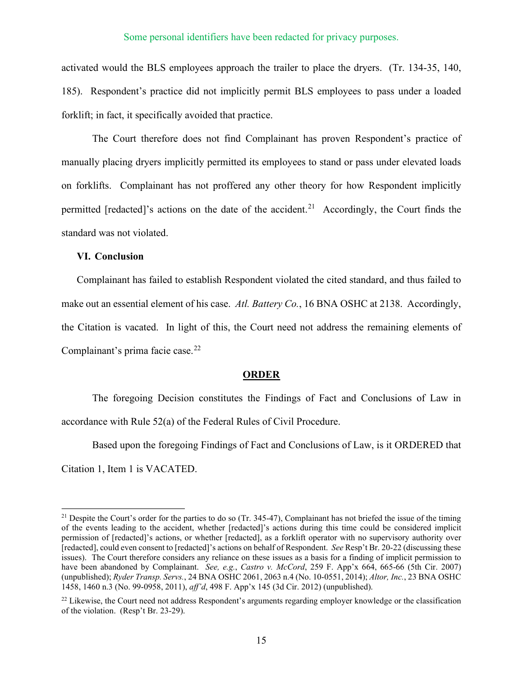activated would the BLS employees approach the trailer to place the dryers. (Tr. 134-35, 140, 185). Respondent's practice did not implicitly permit BLS employees to pass under a loaded forklift; in fact, it specifically avoided that practice.

The Court therefore does not find Complainant has proven Respondent's practice of manually placing dryers implicitly permitted its employees to stand or pass under elevated loads on forklifts. Complainant has not proffered any other theory for how Respondent implicitly permitted [redacted]'s actions on the date of the accident.<sup>21</sup> Accordingly, the Court finds the standard was not violated.

## **VI. Conclusion**

Complainant has failed to establish Respondent violated the cited standard, and thus failed to make out an essential element of his case. *Atl. Battery Co.*, 16 BNA OSHC at 2138. Accordingly, the Citation is vacated. In light of this, the Court need not address the remaining elements of Complainant's prima facie case.<sup>22</sup>

#### **ORDER**

The foregoing Decision constitutes the Findings of Fact and Conclusions of Law in accordance with Rule 52(a) of the Federal Rules of Civil Procedure.

Based upon the foregoing Findings of Fact and Conclusions of Law, is it ORDERED that Citation 1, Item 1 is VACATED.

<sup>&</sup>lt;sup>21</sup> Despite the Court's order for the parties to do so (Tr. 345-47), Complainant has not briefed the issue of the timing of the events leading to the accident, whether [redacted]'s actions during this time could be considered implicit permission of [redacted]'s actions, or whether [redacted], as a forklift operator with no supervisory authority over [redacted], could even consent to [redacted]'s actions on behalf of Respondent. *See* Resp't Br. 20-22 (discussing these issues). The Court therefore considers any reliance on these issues as a basis for a finding of implicit permission to have been abandoned by Complainant. *See, e.g.*, *Castro v. McCord*, 259 F. App'x 664, 665-66 (5th Cir. 2007) (unpublished); *Ryder Transp. Servs.*, 24 BNA OSHC 2061, 2063 n.4 (No. 10-0551, 2014); *Altor, Inc.*, 23 BNA OSHC 1458, 1460 n.3 (No. 99-0958, 2011), *aff'd*, 498 F. App'x 145 (3d Cir. 2012) (unpublished).

<sup>&</sup>lt;sup>22</sup> Likewise, the Court need not address Respondent's arguments regarding employer knowledge or the classification of the violation. (Resp't Br. 23-29).